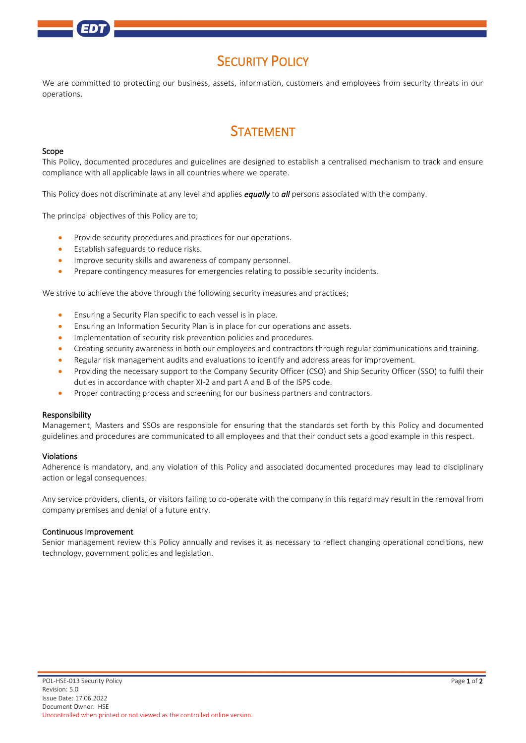## **SECURITY POLICY**

We are committed to protecting our business, assets, information, customers and employees from security threats in our operations.

# **STATEMENT**

#### Scope

This Policy, documented procedures and guidelines are designed to establish a centralised mechanism to track and ensure compliance with all applicable laws in all countries where we operate.

This Policy does not discriminate at any level and applies *equally* to *all* persons associated with the company.

The principal objectives of this Policy are to;

- Provide security procedures and practices for our operations.
- Establish safeguards to reduce risks.
- Improve security skills and awareness of company personnel.
- Prepare contingency measures for emergencies relating to possible security incidents.

We strive to achieve the above through the following security measures and practices;

- Ensuring a Security Plan specific to each vessel is in place.
- Ensuring an Information Security Plan is in place for our operations and assets.
- Implementation of security risk prevention policies and procedures.
- Creating security awareness in both our employees and contractors through regular communications and training.
- Regular risk management audits and evaluations to identify and address areas for improvement.
- Providing the necessary support to the Company Security Officer (CSO) and Ship Security Officer (SSO) to fulfil their duties in accordance with chapter XI-2 and part A and B of the ISPS code.
- Proper contracting process and screening for our business partners and contractors.

#### Responsibility

Management, Masters and SSOs are responsible for ensuring that the standards set forth by this Policy and documented guidelines and procedures are communicated to all employees and that their conduct sets a good example in this respect.

#### Violations

Adherence is mandatory, and any violation of this Policy and associated documented procedures may lead to disciplinary action or legal consequences.

Any service providers, clients, or visitors failing to co-operate with the company in this regard may result in the removal from company premises and denial of a future entry.

#### Continuous Improvement

Senior management review this Policy annually and revises it as necessary to reflect changing operational conditions, new technology, government policies and legislation.